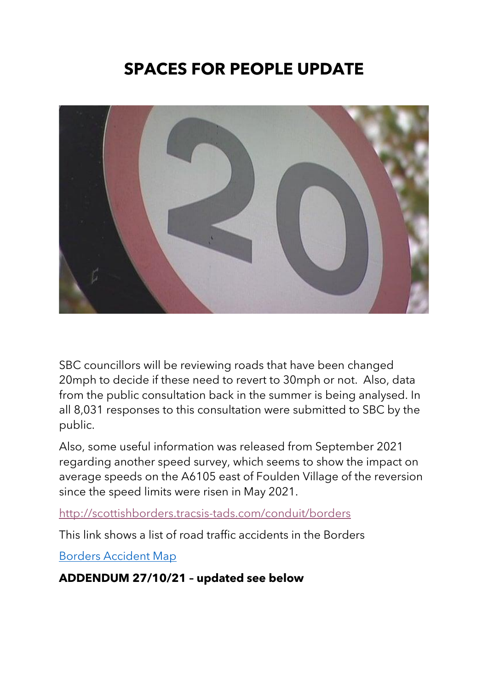# **SPACES FOR PEOPLE UPDATE**



SBC councillors will be reviewing roads that have been changed 20mph to decide if these need to revert to 30mph or not. Also, data from the public consultation back in the summer is being analysed. In all 8,031 responses to this consultation were submitted to SBC by the public.

Also, some useful information was released from September 2021 regarding another speed survey, which seems to show the impact on average speeds on the A6105 east of Foulden Village of the reversion since the speed limits were risen in May 2021.

<http://scottishborders.tracsis-tads.com/conduit/borders>

This link shows a list of road traffic accidents in the Borders

[Borders Accident Map](https://skyhightech.maps.arcgis.com/apps/opsdashboard/index.html?fbclid=IwAR2lRizvHkrpMaCJTuPVrZ17BtgA9cx8gvsvKnUc-l-gNWVOn7Ew7ryB7XM#/969e38cbaa2c4619a9f18a2f06ea510e) 

**ADDENDUM 27/10/21 – updated see below**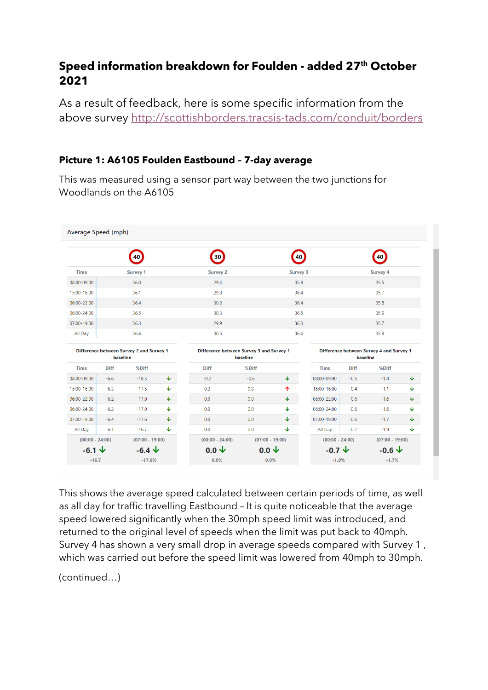# **Speed information breakdown for Foulden - added 27th October 2021**

As a result of feedback, here is some specific information from the above survey <http://scottishborders.tracsis-tads.com/conduit/borders>

### **Picture 1: A6105 Foulden Eastbound – 7-day average**

This was measured using a sensor part way between the two junctions for Woodlands on the A6105

|                   |             | 40                                       |              | $30^{\circ}$                             |          | 40                |                   |             | 40                                       |              |
|-------------------|-------------|------------------------------------------|--------------|------------------------------------------|----------|-------------------|-------------------|-------------|------------------------------------------|--------------|
| <b>Time</b>       |             | Survey 1                                 |              | <b>Survey 2</b>                          |          | <b>Survey 3</b>   |                   |             | <b>Survey 4</b>                          |              |
| 08:00-09:00       |             | 36.0                                     |              | 29.4                                     |          | 35.8              |                   |             | 35.5                                     |              |
| 15:00-16:00       |             | 36.1                                     |              | 29.8                                     |          | 36.4              |                   |             | 35.7                                     |              |
| 06:00-22:00       |             | 36.4                                     |              | 30.2                                     |          | 36.4              |                   |             | 35.8                                     |              |
| 06:00-24:00       |             | 36.5                                     |              | 30.3                                     |          | 36.5              |                   |             | 35.9                                     |              |
| 07:00-19:00       |             | 36.3                                     |              | 29.9                                     |          | 36.3              |                   |             | 35.7                                     |              |
| All Day           | 36.6        |                                          | 30.5         |                                          | 36.6     |                   | 35.9              |             |                                          |              |
|                   | baseline    | Difference between Survey 2 and Survey 1 |              | Difference between Survey 3 and Survey 1 | baseline |                   |                   | baseline    | Difference between Survey 4 and Survey 1 |              |
| <b>Time</b>       | <b>Diff</b> | %Diff                                    |              | <b>Diff</b>                              | %Diff    |                   | <b>Time</b>       | <b>Diff</b> | %Diff                                    |              |
| 08:00-09:00       | $-6.6$      | $-18.3$                                  | $\downarrow$ | $-0.2$                                   | $-0.6$   | $\downarrow$      | 08:00-09:00       | $-0.5$      | $-1.4$                                   | $\downarrow$ |
| 15:00-16:00       | $-6.3$      | $-17.5$                                  | ♦            | 0.3                                      | 0.8      | 个                 | 15:00-16:00       | $-0.4$      | $-1.1$                                   | ♦            |
| 06:00-22:00       | $-6.2$      | $-17.0$                                  | ↓            | 0.0                                      | 0.0      | $\downarrow$      | 06:00-22:00       | $-0.6$      | $-1.6$                                   | $\downarrow$ |
| 06:00-24:00       | $-6.2$      | $-17.0$                                  | ♦            | 0.0                                      | 0.0      | ♦                 | 06:00-24:00       | $-0.6$      | $-1.6$                                   | ♦            |
| 07:00-19:00       | $-6.4$      | $-17.6$                                  | ∲            | 0.0                                      | 0.0      | ♦                 | 07:00-19:00       | $-0.6$      | $-1.7$                                   | ♦            |
| All Day           | $-6.1$      | $-16.7$                                  | J.           | 0.0                                      | 0.0      | ♦                 | All Day           | $-0.7$      | $-1.9$                                   | $\downarrow$ |
| $(00:00 - 24:00)$ |             | $(07:00 - 19:00)$                        |              | $(00:00 - 24:00)$                        |          | $(07:00 - 19:00)$ | $(00:00 - 24:00)$ |             | $(07:00 - 19:00)$                        |              |
|                   |             | $-6.4 \text{ J}$                         |              | $0.0 \Psi$                               |          | $0.0 \Psi$        | $-0.7 \; \Psi$    |             | -0.6 ሇ                                   |              |
| $-6.1 \Psi$       |             |                                          |              |                                          |          |                   |                   |             |                                          |              |

This shows the average speed calculated between certain periods of time, as well as all day for traffic travelling Eastbound – It is quite noticeable that the average speed lowered significantly when the 30mph speed limit was introduced, and returned to the original level of speeds when the limit was put back to 40mph. Survey 4 has shown a very small drop in average speeds compared with Survey 1 , which was carried out before the speed limit was lowered from 40mph to 30mph.

(continued…)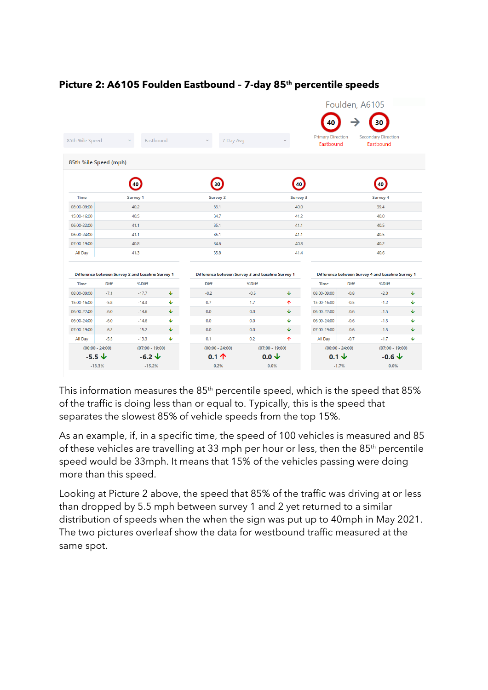|                       |                   |                                                   |              |                         |                                                   |                 |                                       |             | Foulden, A6105                                    |   |
|-----------------------|-------------------|---------------------------------------------------|--------------|-------------------------|---------------------------------------------------|-----------------|---------------------------------------|-------------|---------------------------------------------------|---|
|                       |                   |                                                   |              |                         |                                                   |                 | 40                                    |             | 30                                                |   |
| 85th %ile Speed       |                   | Eastbound                                         |              |                         | 7 Day Avg                                         |                 | <b>Primary Direction</b><br>Eastbound |             | <b>Secondary Direction</b><br>Eastbound           |   |
| 85th %ile Speed (mph) |                   |                                                   |              |                         |                                                   |                 |                                       |             |                                                   |   |
|                       |                   | 40                                                |              | 30                      |                                                   | 40              |                                       |             | 40                                                |   |
| <b>Time</b>           |                   | <b>Survey 1</b>                                   |              | <b>Survey 2</b>         |                                                   | <b>Survey 3</b> |                                       |             | <b>Survey 4</b>                                   |   |
| 08:00-09:00           |                   | 40.2                                              |              | 33.1                    |                                                   | 40.0            |                                       |             | 39.4                                              |   |
| 15:00-16:00           |                   | 40.5                                              |              | 34.7                    |                                                   | 41.2            |                                       |             | 40.0                                              |   |
| 06:00-22:00           |                   | 41.1                                              |              | 35.1                    |                                                   | 41.1            |                                       |             | 40.5                                              |   |
| 06:00-24:00           |                   | 41.1                                              |              | 35.1                    |                                                   | 41.1            |                                       |             | 40.5                                              |   |
| 07:00-19:00           |                   | 40.8                                              |              | 34.6                    |                                                   | 40.8            |                                       |             | 40.2                                              |   |
| All Day               |                   | 41.3                                              |              | 35.8                    |                                                   | 41.4            |                                       |             | 40.6                                              |   |
|                       |                   | Difference between Survey 2 and baseline Survey 1 |              |                         | Difference between Survey 3 and baseline Survey 1 |                 |                                       |             | Difference between Survey 4 and baseline Survey 1 |   |
| <b>Time</b>           | Diff              | %Diff                                             |              | Diff                    | %Diff                                             |                 | <b>Time</b>                           | <b>Diff</b> | %Diff                                             |   |
| 08:00-09:00           | $-7.1$            | $-17.7$                                           | $\downarrow$ | $-0.2$                  | $-0.5$                                            | J.              | 08:00-09:00                           | $-0.8$      | $-2.0$                                            | ♦ |
| 15:00-16:00           | $-5.8$            | $-14.3$                                           | ↓            | 0.7                     | 1.7                                               | 个               | 15:00-16:00                           | $-0.5$      | $-1.2$                                            | ↓ |
| 06:00-22:00           | $-6.0$            | $-14.6$                                           | ↓            | 0.0                     | 0.0                                               | ¢.              | 06:00-22:00                           | $-0.6$      | $-1.5$                                            | ↓ |
| 06:00-24:00           | $-6.0$            | $-14.6$                                           | ↓            | 0.0                     | 0.0                                               | ♦               | 06:00-24:00                           | $-0.6$      | $-1.5$                                            | ↓ |
| 07:00-19:00           | $-6.2$            | $-15.2$                                           | ♦            | 0.0                     | 0.0                                               | $\downarrow$    | 07:00-19:00                           | $-0.6$      | $-1.5$                                            | ↓ |
| All Day               | $-5.5$            | $-13.3$                                           | ↓            | 0.1                     | 0.2                                               | 个               | All Day                               | $-0.7$      | $-1.7$                                            | ↓ |
|                       | $(00:00 - 24:00)$ | $(07:00 - 19:00)$                                 |              | $(00:00 - 24:00)$       | $(07:00 - 19:00)$                                 |                 | $(00:00 - 24:00)$                     |             | $(07:00 - 19:00)$                                 |   |
| $-5.5 \; \psi$        |                   | $-6.2 \Psi$                                       |              | $0.1 \text{ } \Upsilon$ | $0.0\sqrt{ }$                                     |                 | $0.1 \Psi$                            |             | $-0.6 \Psi$                                       |   |
|                       | $-13.3%$          | $-15.2%$                                          |              | 0.2%                    | 0.0%                                              |                 |                                       | $-1.7%$     | 0.0%                                              |   |

## **Picture 2: A6105 Foulden Eastbound – 7-day 85th percentile speeds**

This information measures the 85<sup>th</sup> percentile speed, which is the speed that 85% of the traffic is doing less than or equal to. Typically, this is the speed that separates the slowest 85% of vehicle speeds from the top 15%.

As an example, if, in a specific time, the speed of 100 vehicles is measured and 85 of these vehicles are travelling at 33 mph per hour or less, then the 85<sup>th</sup> percentile speed would be 33mph. It means that 15% of the vehicles passing were doing more than this speed.

Looking at Picture 2 above, the speed that 85% of the traffic was driving at or less than dropped by 5.5 mph between survey 1 and 2 yet returned to a similar distribution of speeds when the when the sign was put up to 40mph in May 2021. The two pictures overleaf show the data for westbound traffic measured at the same spot.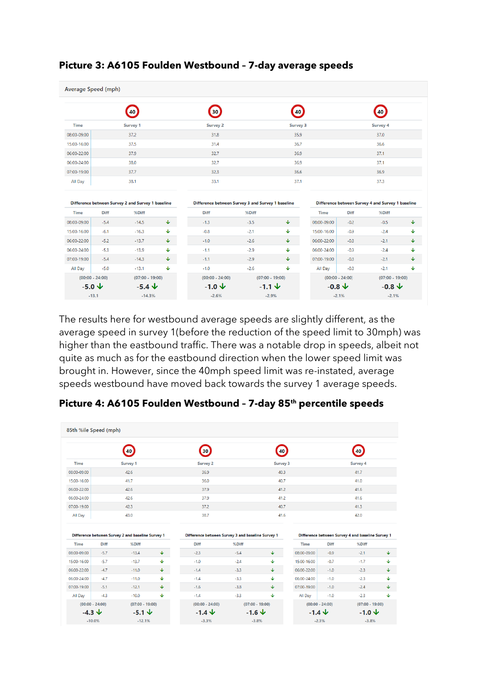|                | Average Speed (mph) |                                                   |              |                                                   |        |                   |                   |             |                                                   |              |
|----------------|---------------------|---------------------------------------------------|--------------|---------------------------------------------------|--------|-------------------|-------------------|-------------|---------------------------------------------------|--------------|
|                |                     | 40                                                |              | 30)                                               |        | 40                |                   |             | 40                                                |              |
| <b>Time</b>    |                     | <b>Survey 1</b>                                   |              | <b>Survey 2</b>                                   |        | Survey 3          |                   |             | Survey 4                                          |              |
| 08:00-09:00    |                     | 37.2                                              |              | 31.8                                              |        | 35.9              |                   |             | 37.0                                              |              |
| 15:00-16:00    |                     | 37.5                                              |              | 31.4                                              |        | 36.7              |                   |             | 36.6                                              |              |
| 06:00-22:00    |                     | 37.9                                              |              | 32.7                                              |        | 36.9              |                   |             | 37.1                                              |              |
| 06:00-24:00    |                     | 38.0                                              |              | 32.7                                              |        | 36.9              |                   |             | 37.1                                              |              |
| 07:00-19:00    |                     | 37.7                                              |              | 32.3                                              |        | 36.6              |                   |             | 36.9                                              |              |
| All Day        |                     | 38.1                                              |              | 33.1                                              |        | 37.1              |                   |             | 37.3                                              |              |
|                |                     | Difference between Survey 2 and Survey 1 baseline |              | Difference between Survey 3 and Survey 1 baseline |        |                   |                   |             | Difference between Survey 4 and Survey 1 baseline |              |
| Time           | <b>Diff</b>         | %Diff                                             |              | <b>Diff</b>                                       | %Diff  |                   | <b>Time</b>       | <b>Diff</b> | %Diff                                             |              |
| 08:00-09:00    | $-5.4$              | $-14.5$                                           | $\downarrow$ | $-1.3$                                            | $-3.5$ | ↓                 | 08:00-09:00       | $-0.2$      | $-0.5$                                            | $\downarrow$ |
| 15:00-16:00    | $-6.1$              | $-16.3$                                           | $\downarrow$ | $-0.8$                                            | $-2.1$ | ↓                 | 15:00-16:00       | $-0.9$      | $-2.4$                                            | ↓            |
| 06:00-22:00    | $-5.2$              | $-13.7$                                           | ♦            | $-1.0$                                            | $-2.6$ | ↓                 | 06:00-22:00       | $-0.8$      | $-2.1$                                            | ↓            |
| 06:00-24:00    | $-5.3$              | $-13.9$                                           | ♦            | $-1.1$                                            | $-2.9$ | ↓                 | 06:00-24:00       | $-0.9$      | $-2.4$                                            | ↓            |
| 07:00-19:00    | $-5.4$              | $-14.3$                                           | ♦            | $-1.1$                                            | $-2.9$ | ↓                 | 07:00-19:00       | $-0.8$      | $-2.1$                                            | ↓            |
| All Day        | $-5.0$              | $-13.1$                                           | ↓            | $-1.0$                                            | $-2.6$ | ↓                 | All Day           | $-0.8$      | $-2.1$                                            | ↓            |
|                | $(00:00 - 24:00)$   | $(07:00 - 19:00)$                                 |              | $(00:00 - 24:00)$                                 |        | $(07:00 - 19:00)$ | $(00:00 - 24:00)$ |             | $(07:00 - 19:00)$                                 |              |
| $-5.0\sqrt{ }$ |                     | $-5.4 \; \psi$                                    |              | $-1.0 \Psi$                                       |        | $-1.1 \; \psi$    | $-0.8 \Psi$       |             | $-0.8\ \Psi$                                      |              |
| $-13.1$        |                     | $-14.3%$                                          |              | $-2.6%$                                           |        | $-2.9%$           |                   | $-2.1%$     | $-2.1%$                                           |              |

#### **Picture 3: A6105 Foulden Westbound – 7-day average speeds**

The results here for westbound average speeds are slightly different, as the average speed in survey 1(before the reduction of the speed limit to 30mph) was higher than the eastbound traffic. There was a notable drop in speeds, albeit not quite as much as for the eastbound direction when the lower speed limit was brought in. However, since the 40mph speed limit was re-instated, average speeds westbound have moved back towards the survey 1 average speeds.

|                                                                         | 85th %ile Speed (mph) |                                                   |              |                                                   |                   |              |                   |             |                                                   |                                  |
|-------------------------------------------------------------------------|-----------------------|---------------------------------------------------|--------------|---------------------------------------------------|-------------------|--------------|-------------------|-------------|---------------------------------------------------|----------------------------------|
|                                                                         |                       | 40                                                |              | 30                                                |                   | 40           |                   |             | 40                                                |                                  |
| <b>Time</b>                                                             |                       | <b>Survey 1</b>                                   |              | <b>Survey 2</b>                                   |                   | Survey 3     |                   |             | Survey 4                                          |                                  |
| 08:00-09:00                                                             |                       | 42.6                                              |              | 36.9                                              |                   | 40.3         |                   |             | 41.7                                              |                                  |
| 15:00-16:00                                                             |                       | 41.7                                              |              | 36.0                                              |                   | 40.7         |                   |             | 41.0                                              |                                  |
| 06:00-22:00                                                             |                       | 42.6                                              |              | 37.9                                              |                   | 41.2         |                   |             | 41.6                                              |                                  |
| 06:00-24:00                                                             |                       | 42.6                                              |              | 37.9                                              |                   | 41.2         |                   |             | 41.6                                              |                                  |
| 07:00-19:00                                                             |                       | 42.3                                              |              | 37.2                                              |                   | 40.7         |                   |             | 41.3                                              |                                  |
| All Day                                                                 |                       |                                                   |              |                                                   |                   |              |                   |             |                                                   |                                  |
|                                                                         |                       | 43.0                                              |              | 38.7                                              |                   | 41.6         |                   |             | 42.0                                              |                                  |
|                                                                         |                       | Difference between Survey 2 and baseline Survey 1 |              | Difference between Survey 3 and baseline Survey 1 |                   |              |                   |             | Difference between Survey 4 and baseline Survey 1 |                                  |
| Time                                                                    | Diff                  | %Diff                                             |              | <b>Diff</b>                                       | %Diff             |              | <b>Time</b>       | <b>Diff</b> | %Diff                                             |                                  |
|                                                                         | $-5.7$                | $-13.4$                                           | $\downarrow$ | $-2.3$                                            | $-5.4$            | $\downarrow$ | 08:00-09:00       | $-0.9$      | $-2.1$                                            | ∲                                |
|                                                                         | $-5.7$                | $-13.7$                                           | ♦            | $-1.0$                                            | $-2.4$            | ↓            | 15:00-16:00       | $-0.7$      | $-1.7$                                            |                                  |
|                                                                         | $-4.7$                | $-11.0$                                           | $\downarrow$ | $-1.4$                                            | $-3.3$            | $\downarrow$ | 06:00-22:00       | $-1.0$      | $-2.3$                                            |                                  |
|                                                                         | $-4.7$                | $-11.0$                                           | ♦            | $-1.4$                                            | $-3.3$            | ¢.           | 06:00-24:00       | $-1.0$      | $-2.3$                                            |                                  |
| 08:00-09:00<br>15:00-16:00<br>06:00-22:00<br>06:00-24:00<br>07:00-19:00 | $-5.1$                | $-12.1$                                           | $\downarrow$ | $-1.6$                                            | $-3.8$            | $\downarrow$ | 07:00-19:00       | $-1.0$      | $-2.4$                                            |                                  |
| All Day                                                                 | $-4.3$                | $-10.0$                                           | ↓            | $-1.4$                                            | $-3.3$            | J.           | All Day           | $-1.0$      | $-2.3$                                            |                                  |
|                                                                         | $(00:00 - 24:00)$     | $(07:00 - 19:00)$                                 |              | $(00:00 - 24:00)$                                 | $(07:00 - 19:00)$ |              | $(00:00 - 24:00)$ |             | $(07:00 - 19:00)$                                 | ↓<br>$\downarrow$<br>↓<br>↓<br>♦ |

#### **Picture 4: A6105 Foulden Westbound – 7-day 85th percentile speeds**